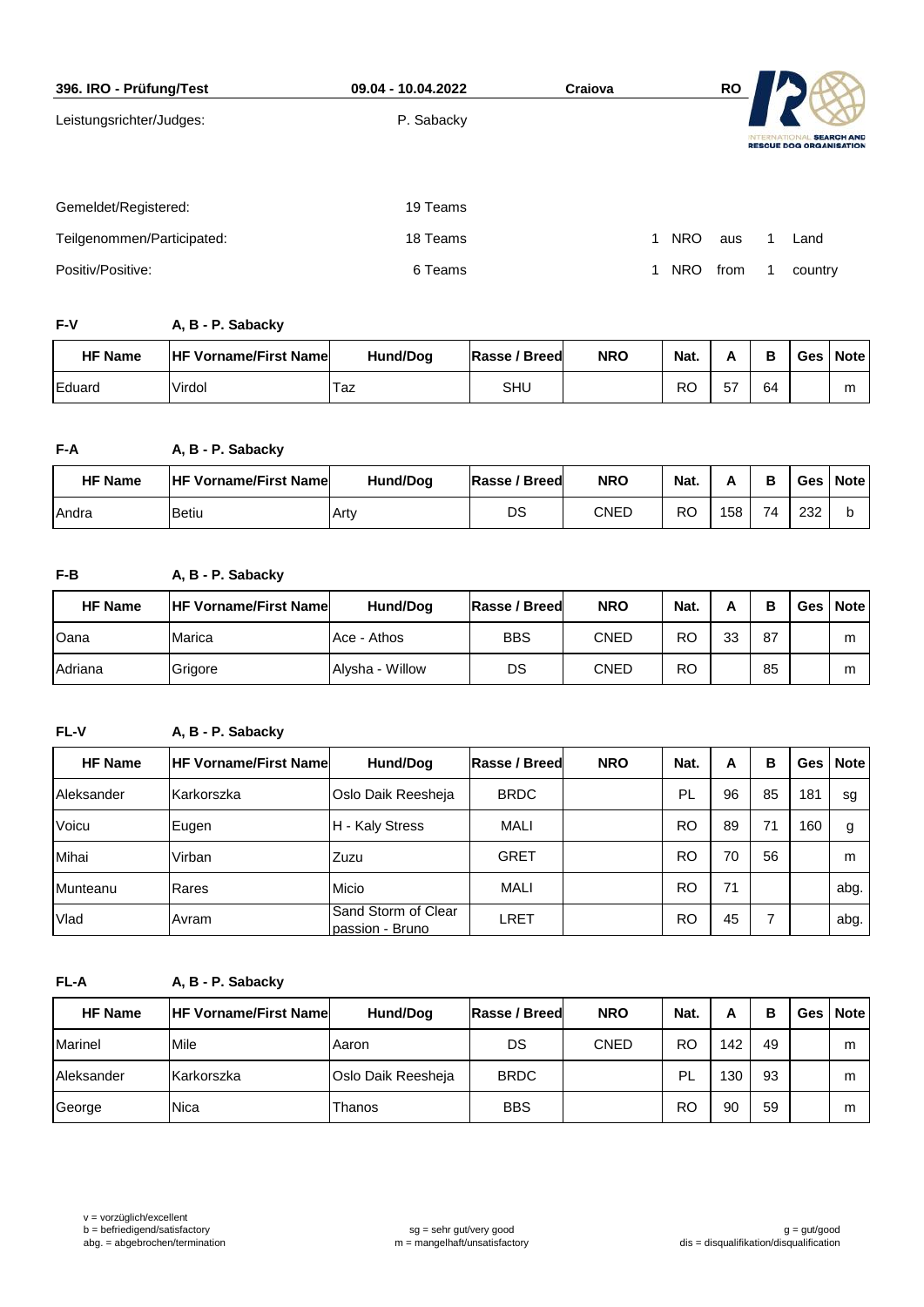| 396. IRO - Prüfung/Test    | 09.04 - 10.04.2022 | Craiova |            | <b>RO</b> |                 |                                                     |
|----------------------------|--------------------|---------|------------|-----------|-----------------|-----------------------------------------------------|
| Leistungsrichter/Judges:   | P. Sabacky         |         |            |           | <b>INTERNAT</b> | <b>SEARCH AND</b><br><b>RESCUE DOG ORGANISATION</b> |
| Gemeldet/Registered:       | 19 Teams           |         |            |           |                 |                                                     |
| Teilgenommen/Participated: | 18 Teams           | 1       | <b>NRO</b> | aus       |                 | Land                                                |
| Positiv/Positive:          | 6 Teams            |         | <b>NRO</b> | from      |                 | country                                             |

## **F-V A, B - P. Sabacky**

| <b>HF Name</b>  | <b>HF Vorname/First Namel</b> | <b>Hund/Dog</b> | <b>IRasse / Breed</b> | <b>NRO</b> | Nat.      | А  | в  | Ges | <b>Note</b> |
|-----------------|-------------------------------|-----------------|-----------------------|------------|-----------|----|----|-----|-------------|
| <b>I</b> Eduard | Virdol                        | l az            | SHL                   |            | <b>RO</b> | 57 | 64 |     | m           |

## **F-A A, B - P. Sabacky**

| <b>HF Name</b> | <b>HF Vorname/First Namel</b> | <b>Hund/Dog</b> | Rasse / Breed | <b>NRO</b> | Nat.      |     | B  | Ges | <b>Note</b> |
|----------------|-------------------------------|-----------------|---------------|------------|-----------|-----|----|-----|-------------|
| l Andra        | <b>Betiu</b>                  | .Arty           | DS            | CNED       | <b>RO</b> | 158 | 74 | 232 | ມ           |

# **F-B A, B - P. Sabacky**

| <b>HF Name</b> | <b>HF Vorname/First Namel</b> | Hund/Dog        | Rasse / Breed | <b>NRO</b>  | Nat.      |    | в  | Ges | Note |
|----------------|-------------------------------|-----------------|---------------|-------------|-----------|----|----|-----|------|
| Oana           | Marica                        | Ace - Athos     | <b>BBS</b>    | <b>CNED</b> | RO        | 33 | 87 |     | m    |
| <b>Adriana</b> | Grigore                       | Alysha - Willow | DS            | <b>CNED</b> | <b>RO</b> |    | 85 |     | m    |

# **FL-V A, B - P. Sabacky**

| <b>HF Name</b> | <b>HF Vorname/First Namel</b> | Hund/Dog                               | <b>Rasse / Breed</b> | <b>NRO</b> | Nat.      | A  | в  | Ges | <b>Note</b> |
|----------------|-------------------------------|----------------------------------------|----------------------|------------|-----------|----|----|-----|-------------|
| Aleksander     | Karkorszka                    | Oslo Daik Reesheja                     | <b>BRDC</b>          |            | PL        | 96 | 85 | 181 | sg          |
| Voicu          | Eugen                         | - Kaly Stress<br>н                     | <b>MALI</b>          |            | <b>RO</b> | 89 | 71 | 160 | g           |
| Mihai          | Virban                        | <b>Zuzu</b>                            | <b>GRET</b>          |            | RO        | 70 | 56 |     | m           |
| Munteanu       | Rares                         | Micio                                  | <b>MALI</b>          |            | <b>RO</b> | 71 |    |     | abg.        |
| Vlad           | <b>Avram</b>                  | Sand Storm of Clear<br>passion - Bruno | <b>LRET</b>          |            | <b>RO</b> | 45 |    |     | abg.        |

**FL-A A, B - P. Sabacky**

| <b>HF Name</b> | <b>HF Vorname/First Namel</b> | Hund/Dog           | Rasse / Breed | <b>NRO</b>  | Nat. | А   | в  | Ges Note |
|----------------|-------------------------------|--------------------|---------------|-------------|------|-----|----|----------|
| Marinel        | Mile                          | Aaron              | DS            | <b>CNED</b> | RO   | 142 | 49 | m        |
| Aleksander     | Karkorszka                    | Oslo Daik Reesheja | <b>BRDC</b>   |             | PL   | 130 | 93 | m        |
| George         | Nica                          | Thanos             | <b>BBS</b>    |             | RO   | 90  | 59 | m        |